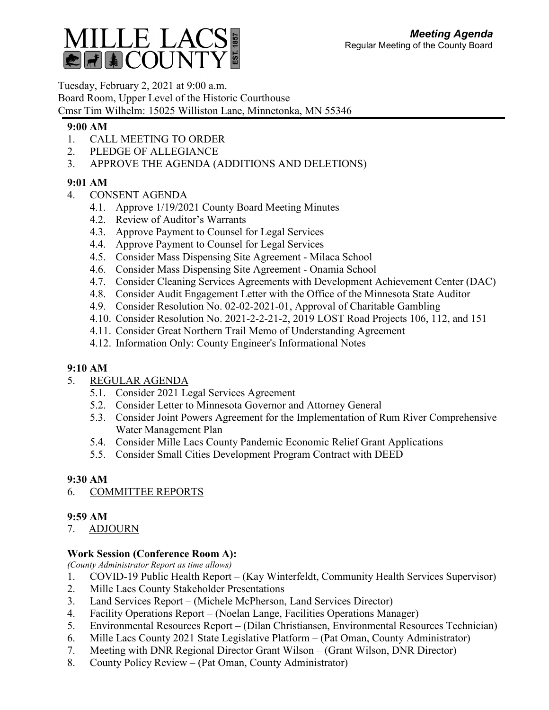

Tuesday, February 2, 2021 at 9:00 a.m. Board Room, Upper Level of the Historic Courthouse Cmsr Tim Wilhelm: 15025 Williston Lane, Minnetonka, MN 55346

## **9:00 AM**

- 1. CALL MEETING TO ORDER
- 2. PLEDGE OF ALLEGIANCE
- 3. APPROVE THE AGENDA (ADDITIONS AND DELETIONS)

## **9:01 AM**

- 4. CONSENT AGENDA
	- 4.1. Approve 1/19/2021 County Board Meeting Minutes
	- 4.2. Review of Auditor's Warrants
	- 4.3. Approve Payment to Counsel for Legal Services
	- 4.4. Approve Payment to Counsel for Legal Services
	- 4.5. Consider Mass Dispensing Site Agreement Milaca School
	- 4.6. Consider Mass Dispensing Site Agreement Onamia School
	- 4.7. Consider Cleaning Services Agreements with Development Achievement Center (DAC)
	- 4.8. Consider Audit Engagement Letter with the Office of the Minnesota State Auditor
	- 4.9. Consider Resolution No. 02-02-2021-01, Approval of Charitable Gambling
	- 4.10. Consider Resolution No. 2021-2-2-21-2, 2019 LOST Road Projects 106, 112, and 151
	- 4.11. Consider Great Northern Trail Memo of Understanding Agreement
	- 4.12. Information Only: County Engineer's Informational Notes

## **9:10 AM**

- 5. REGULAR AGENDA
	- 5.1. Consider 2021 Legal Services Agreement
	- 5.2. Consider Letter to Minnesota Governor and Attorney General
	- 5.3. Consider Joint Powers Agreement for the Implementation of Rum River Comprehensive Water Management Plan
	- 5.4. Consider Mille Lacs County Pandemic Economic Relief Grant Applications
	- 5.5. Consider Small Cities Development Program Contract with DEED

# **9:30 AM**

6. COMMITTEE REPORTS

## **9:59 AM**

7. ADJOURN

# **Work Session (Conference Room A):**

*(County Administrator Report as time allows)*

- 1. COVID-19 Public Health Report (Kay Winterfeldt, Community Health Services Supervisor)
- 2. Mille Lacs County Stakeholder Presentations
- 3. Land Services Report (Michele McPherson, Land Services Director)
- 4. Facility Operations Report (Noelan Lange, Facilities Operations Manager)
- 5. Environmental Resources Report (Dilan Christiansen, Environmental Resources Technician)
- 6. Mille Lacs County 2021 State Legislative Platform (Pat Oman, County Administrator)
- 7. Meeting with DNR Regional Director Grant Wilson (Grant Wilson, DNR Director)
- 8. County Policy Review (Pat Oman, County Administrator)